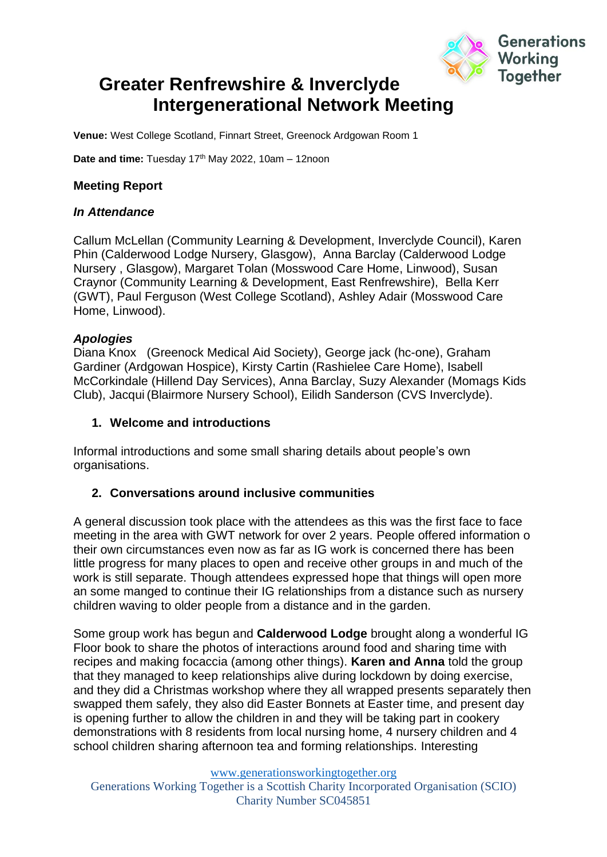

# **Greater Renfrewshire & Inverclyde Intergenerational Network Meeting**

**Venue:** West College Scotland, Finnart Street, Greenock Ardgowan Room 1

Date and time: Tuesday 17<sup>th</sup> May 2022, 10am - 12noon

### **Meeting Report**

#### *In Attendance*

Callum McLellan (Community Learning & Development, Inverclyde Council), Karen Phin (Calderwood Lodge Nursery, Glasgow), Anna Barclay (Calderwood Lodge Nursery , Glasgow), Margaret Tolan (Mosswood Care Home, Linwood), Susan Craynor (Community Learning & Development, East Renfrewshire), Bella Kerr (GWT), Paul Ferguson (West College Scotland), Ashley Adair (Mosswood Care Home, Linwood).

### *Apologies*

Diana Knox (Greenock Medical Aid Society), George jack (hc-one), Graham Gardiner (Ardgowan Hospice), Kirsty Cartin (Rashielee Care Home), Isabell McCorkindale (Hillend Day Services), Anna Barclay, Suzy Alexander (Momags Kids Club), Jacqui (Blairmore Nursery School), Eilidh Sanderson (CVS Inverclyde).

#### **1. Welcome and introductions**

Informal introductions and some small sharing details about people's own organisations.

### **2. Conversations around inclusive communities**

A general discussion took place with the attendees as this was the first face to face meeting in the area with GWT network for over 2 years. People offered information o their own circumstances even now as far as IG work is concerned there has been little progress for many places to open and receive other groups in and much of the work is still separate. Though attendees expressed hope that things will open more an some manged to continue their IG relationships from a distance such as nursery children waving to older people from a distance and in the garden.

Some group work has begun and **Calderwood Lodge** brought along a wonderful IG Floor book to share the photos of interactions around food and sharing time with recipes and making focaccia (among other things). **Karen and Anna** told the group that they managed to keep relationships alive during lockdown by doing exercise, and they did a Christmas workshop where they all wrapped presents separately then swapped them safely, they also did Easter Bonnets at Easter time, and present day is opening further to allow the children in and they will be taking part in cookery demonstrations with 8 residents from local nursing home, 4 nursery children and 4 school children sharing afternoon tea and forming relationships. Interesting

[www.generationsworkingtogether.org](http://www.generationsworkingtogether.org/)

Generations Working Together is a Scottish Charity Incorporated Organisation (SCIO) Charity Number SC045851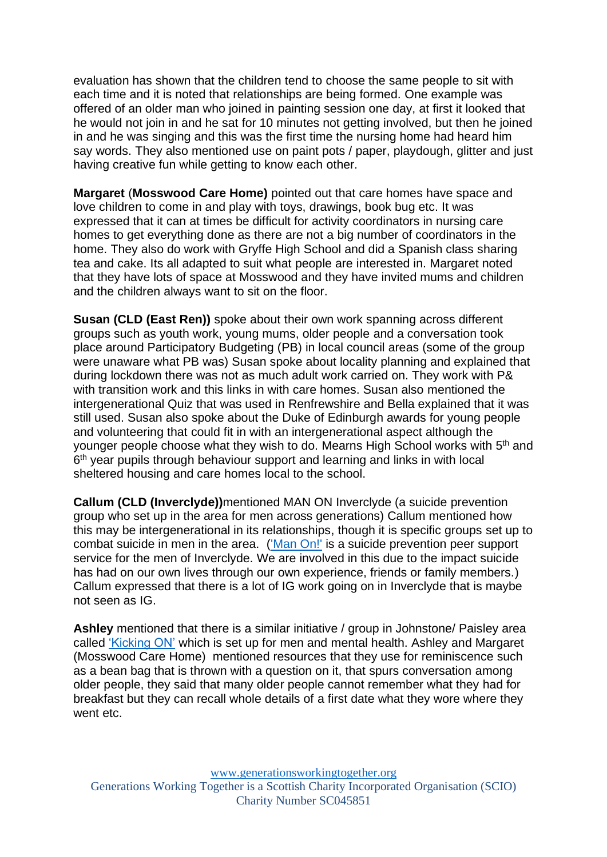evaluation has shown that the children tend to choose the same people to sit with each time and it is noted that relationships are being formed. One example was offered of an older man who joined in painting session one day, at first it looked that he would not join in and he sat for 10 minutes not getting involved, but then he joined in and he was singing and this was the first time the nursing home had heard him say words. They also mentioned use on paint pots / paper, playdough, glitter and just having creative fun while getting to know each other.

**Margaret** (**Mosswood Care Home)** pointed out that care homes have space and love children to come in and play with toys, drawings, book bug etc. It was expressed that it can at times be difficult for activity coordinators in nursing care homes to get everything done as there are not a big number of coordinators in the home. They also do work with Gryffe High School and did a Spanish class sharing tea and cake. Its all adapted to suit what people are interested in. Margaret noted that they have lots of space at Mosswood and they have invited mums and children and the children always want to sit on the floor.

**Susan (CLD (East Ren))** spoke about their own work spanning across different groups such as youth work, young mums, older people and a conversation took place around Participatory Budgeting (PB) in local council areas (some of the group were unaware what PB was) Susan spoke about locality planning and explained that during lockdown there was not as much adult work carried on. They work with P& with transition work and this links in with care homes. Susan also mentioned the intergenerational Quiz that was used in Renfrewshire and Bella explained that it was still used. Susan also spoke about the Duke of Edinburgh awards for young people and volunteering that could fit in with an intergenerational aspect although the younger people choose what they wish to do. Mearns High School works with 5<sup>th</sup> and 6<sup>th</sup> year pupils through behaviour support and learning and links in with local sheltered housing and care homes local to the school.

**Callum (CLD (Inverclyde))**mentioned MAN ON Inverclyde (a suicide prevention group who set up in the area for men across generations) Callum mentioned how this may be intergenerational in its relationships, though it is specific groups set up to combat suicide in men in the area. [\('Man On!'](http://www.manoninverclyde.co.uk/index.html) is a suicide prevention peer support service for the men of Inverclyde. We are involved in this due to the impact suicide has had on our own lives through our own experience, friends or family members.) Callum expressed that there is a lot of IG work going on in Inverclyde that is maybe not seen as IG.

**Ashley** mentioned that there is a similar initiative / group in Johnstone/ Paisley area called ['Kicking ON'](https://kickinon.co.uk/who-we-are/) which is set up for men and mental health. Ashley and Margaret (Mosswood Care Home) mentioned resources that they use for reminiscence such as a bean bag that is thrown with a question on it, that spurs conversation among older people, they said that many older people cannot remember what they had for breakfast but they can recall whole details of a first date what they wore where they went etc.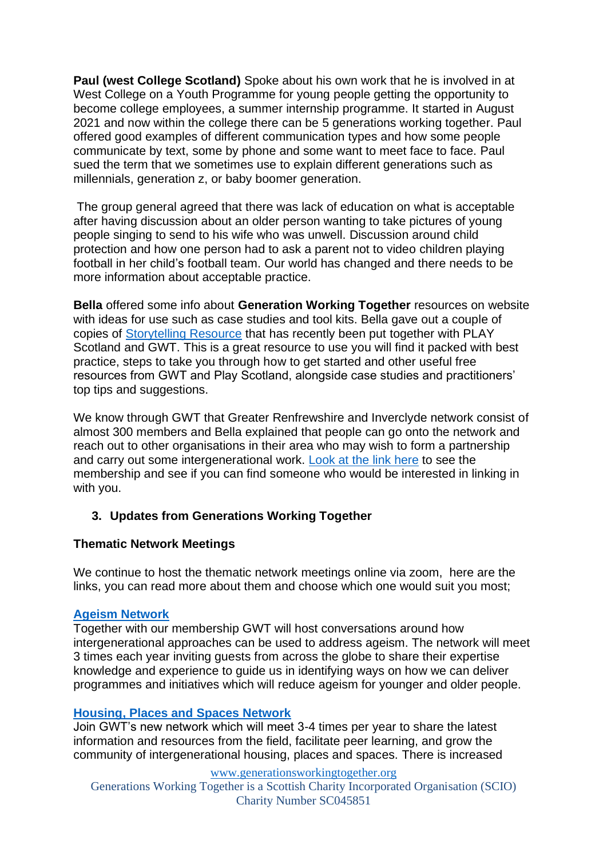**Paul (west College Scotland)** Spoke about his own work that he is involved in at West College on a Youth Programme for young people getting the opportunity to become college employees, a summer internship programme. It started in August 2021 and now within the college there can be 5 generations working together. Paul offered good examples of different communication types and how some people communicate by text, some by phone and some want to meet face to face. Paul sued the term that we sometimes use to explain different generations such as millennials, generation z, or baby boomer generation.

The group general agreed that there was lack of education on what is acceptable after having discussion about an older person wanting to take pictures of young people singing to send to his wife who was unwell. Discussion around child protection and how one person had to ask a parent not to video children playing football in her child's football team. Our world has changed and there needs to be more information about acceptable practice.

**Bella** offered some info about **Generation Working Together** resources on website with ideas for use such as case studies and tool kits. Bella gave out a couple of copies of [Storytelling Resource](https://generationsworkingtogether.org/resources/play-and-storytelling-the-intergenerational-way) that has recently been put together with PLAY Scotland and GWT. This is a great resource to use you will find it packed with best practice, steps to take you through how to get started and other useful free resources from GWT and Play Scotland, alongside case studies and practitioners' top tips and suggestions.

We know through GWT that Greater Renfrewshire and Inverclyde network consist of almost 300 members and Bella explained that people can go onto the network and reach out to other organisations in their area who may wish to form a partnership and carry out some intergenerational work. [Look at the link here](https://generationsworkingtogether.org/networks/greater-renfrewshire-inverclyde) to see the membership and see if you can find someone who would be interested in linking in with you.

# **3. Updates from Generations Working Together**

# **Thematic Network Meetings**

We continue to host the thematic network meetings online via zoom, here are the links, you can read more about them and choose which one would suit you most;

### **[Ageism Network](https://generationsworkingtogether.org/networks/ageism)**

Together with our membership GWT will host conversations around how intergenerational approaches can be used to address ageism. The network will meet 3 times each year inviting guests from across the globe to share their expertise knowledge and experience to guide us in identifying ways on how we can deliver programmes and initiatives which will reduce ageism for younger and older people.

### **[Housing, Places and Spaces](https://generationsworkingtogether.org/networks/ighousing) Network**

Join GWT's new network which will meet 3-4 times per year to share the latest information and resources from the field, facilitate peer learning, and grow the community of intergenerational housing, places and spaces. There is increased

[www.generationsworkingtogether.org](http://www.generationsworkingtogether.org/) Generations Working Together is a Scottish Charity Incorporated Organisation (SCIO)

Charity Number SC045851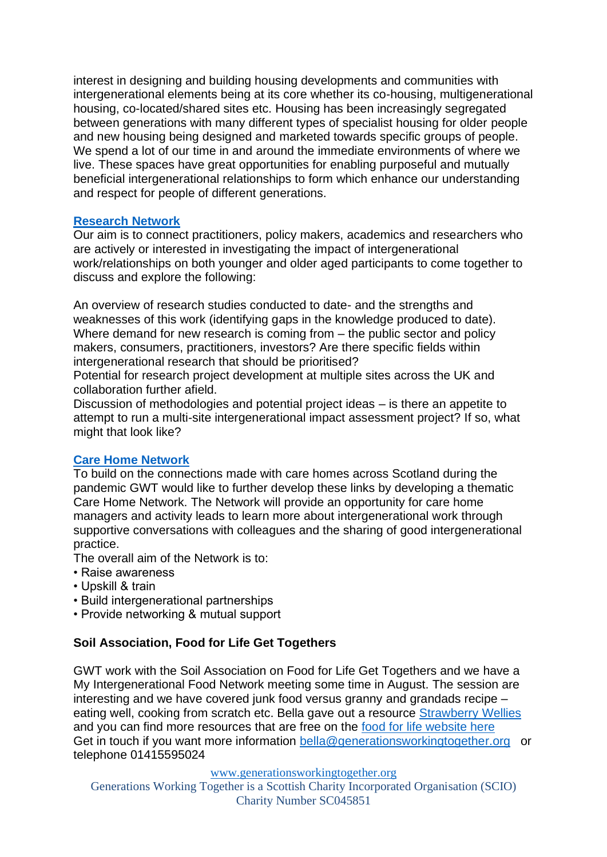interest in designing and building housing developments and communities with intergenerational elements being at its core whether its co-housing, multigenerational housing, co-located/shared sites etc. Housing has been increasingly segregated between generations with many different types of specialist housing for older people and new housing being designed and marketed towards specific groups of people. We spend a lot of our time in and around the immediate environments of where we live. These spaces have great opportunities for enabling purposeful and mutually beneficial intergenerational relationships to form which enhance our understanding and respect for people of different generations.

## **[Research](https://generationsworkingtogether.org/networks/intergenerational-research-network) Network**

Our aim is to connect practitioners, policy makers, academics and researchers who are actively or interested in investigating the impact of intergenerational work/relationships on both younger and older aged participants to come together to discuss and explore the following:

An overview of research studies conducted to date- and the strengths and weaknesses of this work (identifying gaps in the knowledge produced to date). Where demand for new research is coming from – the public sector and policy makers, consumers, practitioners, investors? Are there specific fields within intergenerational research that should be prioritised?

Potential for research project development at multiple sites across the UK and collaboration further afield.

Discussion of methodologies and potential project ideas – is there an appetite to attempt to run a multi-site intergenerational impact assessment project? If so, what might that look like?

# **[Care Home Network](https://generationsworkingtogether.org/networks/care-home-network)**

To build on the connections made with care homes across Scotland during the pandemic GWT would like to further develop these links by developing a thematic Care Home Network. The Network will provide an opportunity for care home managers and activity leads to learn more about intergenerational work through supportive conversations with colleagues and the sharing of good intergenerational practice.

The overall aim of the Network is to:

- Raise awareness
- Upskill & train
- Build intergenerational partnerships
- Provide networking & mutual support

### **Soil Association, Food for Life Get Togethers**

GWT work with the Soil Association on Food for Life Get Togethers and we have a My Intergenerational Food Network meeting some time in August. The session are interesting and we have covered junk food versus granny and grandads recipe – eating well, cooking from scratch etc. Bella gave out a resource [Strawberry Wellies](https://www.fflgettogethers.org/get-involved/resources/growing/strawberry-wellies/) and you can find more resources that are free on the [food for life website here](https://www.fflgettogethers.org/get-involved/resources/) Get in touch if you want more information [bella@generationsworkingtogether.org](mailto:bella@generationsworkingtogether.org) or telephone 01415595024

[www.generationsworkingtogether.org](http://www.generationsworkingtogether.org/)

Generations Working Together is a Scottish Charity Incorporated Organisation (SCIO) Charity Number SC045851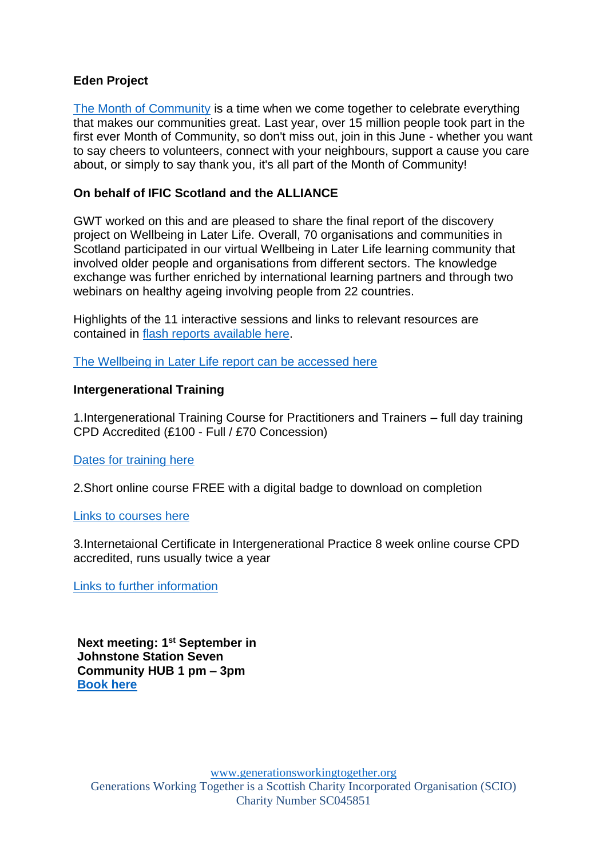## **Eden Project**

[The Month of Community](https://www.edenprojectcommunities.com/month-of-community) is a time when we come together to celebrate everything that makes our communities great. Last year, over 15 million people took part in the first ever Month of Community, so don't miss out, join in this June - whether you want to say cheers to volunteers, connect with your neighbours, support a cause you care about, or simply to say thank you, it's all part of the Month of Community!

## **On behalf of IFIC Scotland and the ALLIANCE**

GWT worked on this and are pleased to share the final report of the discovery project on Wellbeing in Later Life. Overall, 70 organisations and communities in Scotland participated in our virtual Wellbeing in Later Life learning community that involved older people and organisations from different sectors. The knowledge exchange was further enriched by international learning partners and through two webinars on healthy ageing involving people from 22 countries.

Highlights of the 11 interactive sessions and links to relevant resources are contained in [flash reports available here.](https://integratedcarefoundation.org/ific_hub/ific-scotland-programmes)

[The Wellbeing in Later Life report can be accessed here](https://generationsworkingtogether.org/resources/wellbeing-in-later-life)

## **Intergenerational Training**

1.Intergenerational Training Course for Practitioners and Trainers – full day training CPD Accredited (£100 - Full / £70 Concession)

### [Dates for training here](https://generationsworkingtogether.org/training/intergenerational-training)

2.Short online course FREE with a digital badge to download on completion

### [Links to courses](https://generationsworkingtogether.org/training/online-training) here

3.Internetaional Certificate in Intergenerational Practice 8 week online course CPD accredited, runs usually twice a year

[Links to further information](https://generationsworkingtogether.org/training/international-certificate-in-intergenerational-practice-icip)

**Next meeting: 1<sup>st</sup> September in Johnstone Station Seven Community HUB 1 pm – 3pm [Book here](https://generationsworkingtogether.org/events/greater-renfrewshire-inverclyde-network-meeting-01092022)**